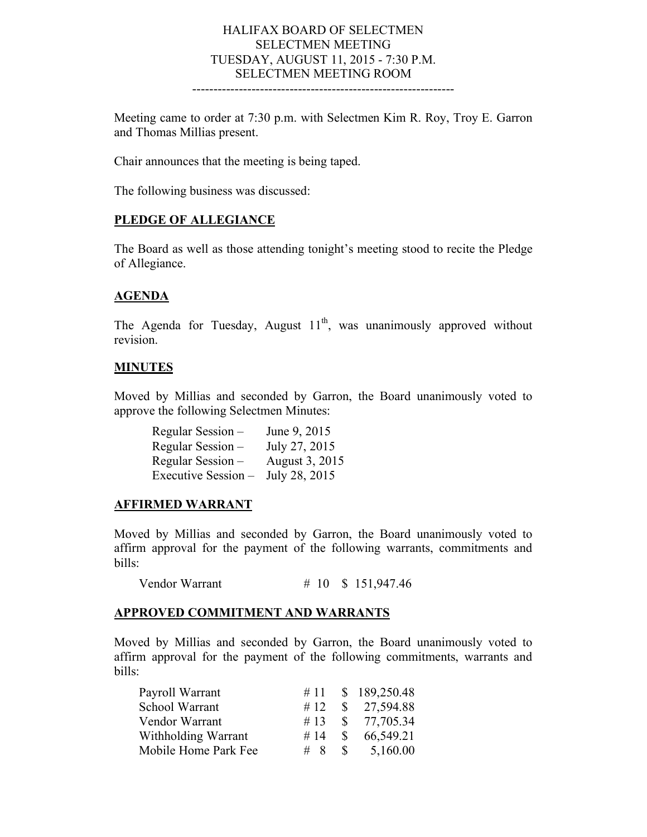#### HALIFAX BOARD OF SELECTMEN SELECTMEN MEETING TUESDAY, AUGUST 11, 2015 - 7:30 P.M. SELECTMEN MEETING ROOM --------------------------------------------------------------

Meeting came to order at 7:30 p.m. with Selectmen Kim R. Roy, Troy E. Garron and Thomas Millias present.

Chair announces that the meeting is being taped.

The following business was discussed:

#### **PLEDGE OF ALLEGIANCE**

The Board as well as those attending tonight's meeting stood to recite the Pledge of Allegiance.

#### **AGENDA**

The Agenda for Tuesday, August  $11<sup>th</sup>$ , was unanimously approved without revision.

#### **MINUTES**

Moved by Millias and seconded by Garron, the Board unanimously voted to approve the following Selectmen Minutes:

| Regular Session -   | June 9, 2015   |
|---------------------|----------------|
| Regular Session –   | July 27, 2015  |
| Regular Session -   | August 3, 2015 |
| Executive Session - | July 28, 2015  |

#### **AFFIRMED WARRANT**

Moved by Millias and seconded by Garron, the Board unanimously voted to affirm approval for the payment of the following warrants, commitments and bills:

Vendor Warrant # 10 \$ 151,947.46

### **APPROVED COMMITMENT AND WARRANTS**

Moved by Millias and seconded by Garron, the Board unanimously voted to affirm approval for the payment of the following commitments, warrants and bills:

| Payroll Warrant      | #11 |               | \$189,250.48 |
|----------------------|-----|---------------|--------------|
| School Warrant       | #12 |               | \$27,594.88  |
| Vendor Warrant       | #13 |               | \$77,705.34  |
| Withholding Warrant  | #14 | $\mathcal{S}$ | 66,549.21    |
| Mobile Home Park Fee | # 8 | $\mathbb{S}$  | 5,160.00     |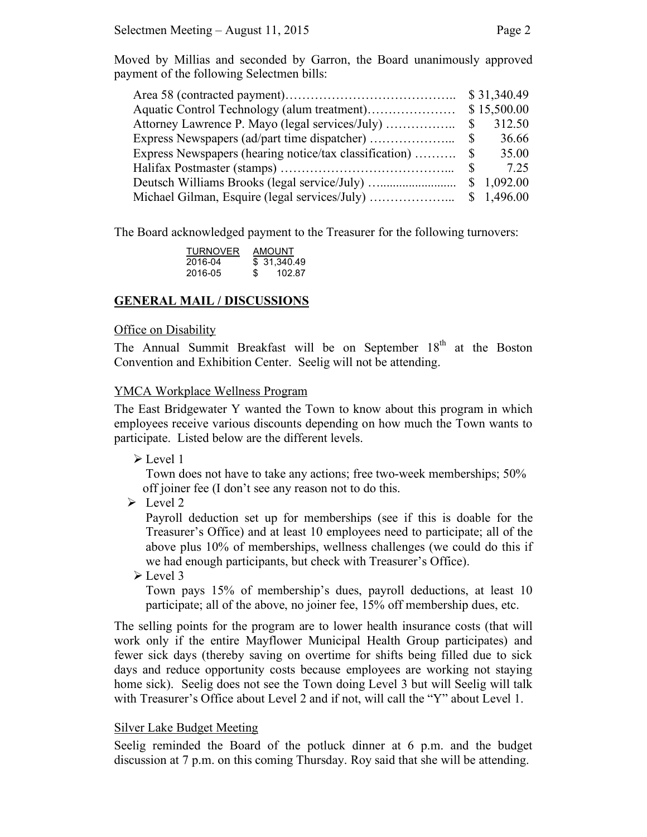Moved by Millias and seconded by Garron, the Board unanimously approved payment of the following Selectmen bills:

|                                                        |              | \$15,500.00 |
|--------------------------------------------------------|--------------|-------------|
|                                                        | $\mathbb{S}$ | 312.50      |
|                                                        | $\mathbb{S}$ | 36.66       |
| Express Newspapers (hearing notice/tax classification) | $\mathbb{S}$ | 35.00       |
|                                                        | $\mathbf{S}$ | 7.25        |
|                                                        |              |             |
|                                                        |              | \$1,496.00  |

The Board acknowledged payment to the Treasurer for the following turnovers:

| <b>TURNOVER</b> | AMOUNT |              |  |
|-----------------|--------|--------------|--|
| 2016-04         |        | \$ 31.340.49 |  |
| 2016-05         | \$     | 102.87       |  |

# **GENERAL MAIL / DISCUSSIONS**

## Office on Disability

The Annual Summit Breakfast will be on September  $18<sup>th</sup>$  at the Boston Convention and Exhibition Center. Seelig will not be attending.

## YMCA Workplace Wellness Program

The East Bridgewater Y wanted the Town to know about this program in which employees receive various discounts depending on how much the Town wants to participate. Listed below are the different levels.

Level 1

 Town does not have to take any actions; free two-week memberships; 50% off joiner fee (I don't see any reason not to do this.

 $\triangleright$  Level 2

Payroll deduction set up for memberships (see if this is doable for the Treasurer's Office) and at least 10 employees need to participate; all of the above plus 10% of memberships, wellness challenges (we could do this if we had enough participants, but check with Treasurer's Office).

Level 3

Town pays 15% of membership's dues, payroll deductions, at least 10 participate; all of the above, no joiner fee, 15% off membership dues, etc.

The selling points for the program are to lower health insurance costs (that will work only if the entire Mayflower Municipal Health Group participates) and fewer sick days (thereby saving on overtime for shifts being filled due to sick days and reduce opportunity costs because employees are working not staying home sick). Seelig does not see the Town doing Level 3 but will Seelig will talk with Treasurer's Office about Level 2 and if not, will call the "Y" about Level 1.

# Silver Lake Budget Meeting

Seelig reminded the Board of the potluck dinner at 6 p.m. and the budget discussion at 7 p.m. on this coming Thursday. Roy said that she will be attending.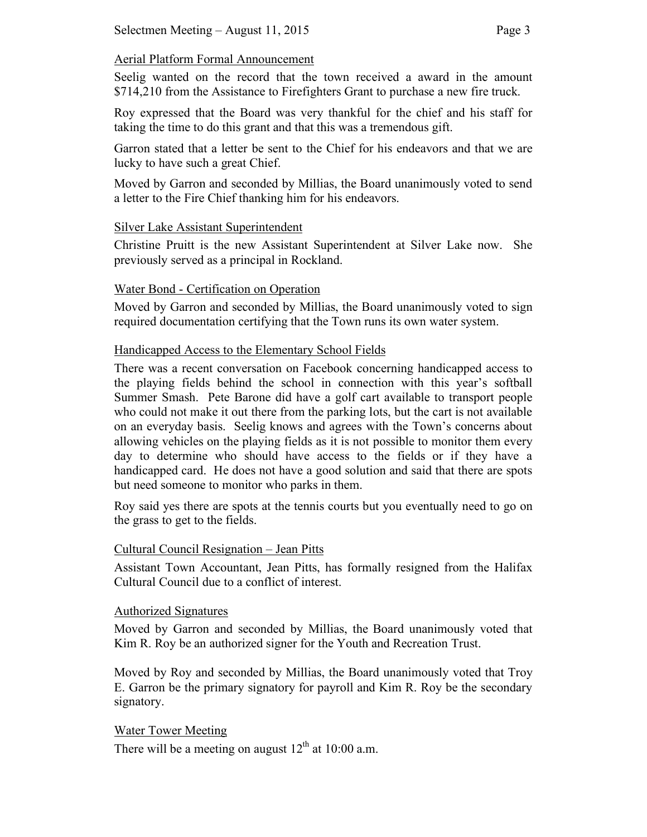## Aerial Platform Formal Announcement

Seelig wanted on the record that the town received a award in the amount \$714,210 from the Assistance to Firefighters Grant to purchase a new fire truck.

Roy expressed that the Board was very thankful for the chief and his staff for taking the time to do this grant and that this was a tremendous gift.

Garron stated that a letter be sent to the Chief for his endeavors and that we are lucky to have such a great Chief.

Moved by Garron and seconded by Millias, the Board unanimously voted to send a letter to the Fire Chief thanking him for his endeavors.

#### Silver Lake Assistant Superintendent

Christine Pruitt is the new Assistant Superintendent at Silver Lake now. She previously served as a principal in Rockland.

## Water Bond - Certification on Operation

Moved by Garron and seconded by Millias, the Board unanimously voted to sign required documentation certifying that the Town runs its own water system.

## Handicapped Access to the Elementary School Fields

There was a recent conversation on Facebook concerning handicapped access to the playing fields behind the school in connection with this year's softball Summer Smash. Pete Barone did have a golf cart available to transport people who could not make it out there from the parking lots, but the cart is not available on an everyday basis. Seelig knows and agrees with the Town's concerns about allowing vehicles on the playing fields as it is not possible to monitor them every day to determine who should have access to the fields or if they have a handicapped card. He does not have a good solution and said that there are spots but need someone to monitor who parks in them.

Roy said yes there are spots at the tennis courts but you eventually need to go on the grass to get to the fields.

#### Cultural Council Resignation – Jean Pitts

Assistant Town Accountant, Jean Pitts, has formally resigned from the Halifax Cultural Council due to a conflict of interest.

#### Authorized Signatures

Moved by Garron and seconded by Millias, the Board unanimously voted that Kim R. Roy be an authorized signer for the Youth and Recreation Trust.

Moved by Roy and seconded by Millias, the Board unanimously voted that Troy E. Garron be the primary signatory for payroll and Kim R. Roy be the secondary signatory.

#### Water Tower Meeting

There will be a meeting on august  $12<sup>th</sup>$  at 10:00 a.m.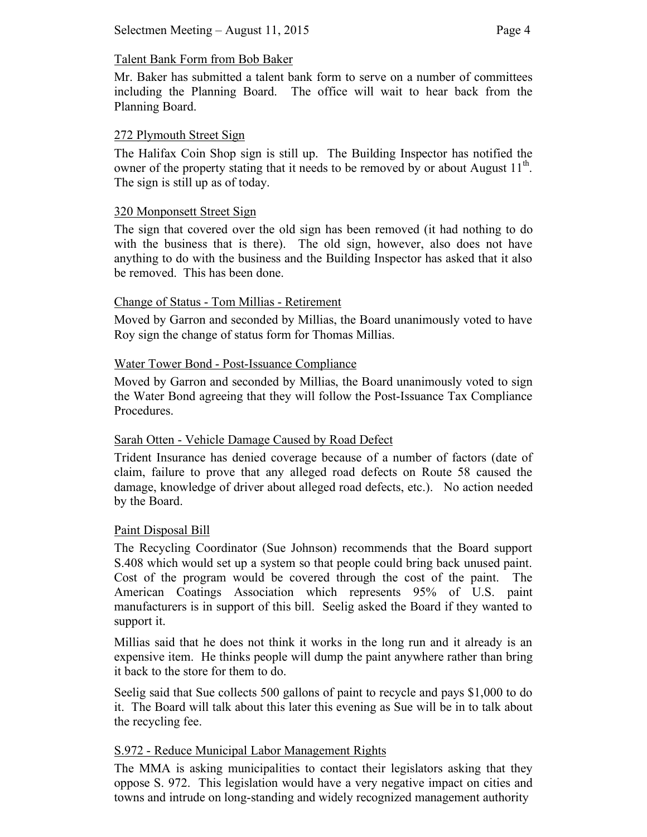# Talent Bank Form from Bob Baker

Mr. Baker has submitted a talent bank form to serve on a number of committees including the Planning Board. The office will wait to hear back from the Planning Board.

### 272 Plymouth Street Sign

The Halifax Coin Shop sign is still up. The Building Inspector has notified the owner of the property stating that it needs to be removed by or about August  $11<sup>th</sup>$ . The sign is still up as of today.

#### 320 Monponsett Street Sign

The sign that covered over the old sign has been removed (it had nothing to do with the business that is there). The old sign, however, also does not have anything to do with the business and the Building Inspector has asked that it also be removed. This has been done.

## Change of Status - Tom Millias - Retirement

Moved by Garron and seconded by Millias, the Board unanimously voted to have Roy sign the change of status form for Thomas Millias.

## Water Tower Bond - Post-Issuance Compliance

Moved by Garron and seconded by Millias, the Board unanimously voted to sign the Water Bond agreeing that they will follow the Post-Issuance Tax Compliance Procedures.

# Sarah Otten - Vehicle Damage Caused by Road Defect

Trident Insurance has denied coverage because of a number of factors (date of claim, failure to prove that any alleged road defects on Route 58 caused the damage, knowledge of driver about alleged road defects, etc.). No action needed by the Board.

#### Paint Disposal Bill

The Recycling Coordinator (Sue Johnson) recommends that the Board support S.408 which would set up a system so that people could bring back unused paint. Cost of the program would be covered through the cost of the paint. The American Coatings Association which represents 95% of U.S. paint manufacturers is in support of this bill. Seelig asked the Board if they wanted to support it.

Millias said that he does not think it works in the long run and it already is an expensive item. He thinks people will dump the paint anywhere rather than bring it back to the store for them to do.

Seelig said that Sue collects 500 gallons of paint to recycle and pays \$1,000 to do it. The Board will talk about this later this evening as Sue will be in to talk about the recycling fee.

#### S.972 - Reduce Municipal Labor Management Rights

The MMA is asking municipalities to contact their legislators asking that they oppose S. 972. This legislation would have a very negative impact on cities and towns and intrude on long-standing and widely recognized management authority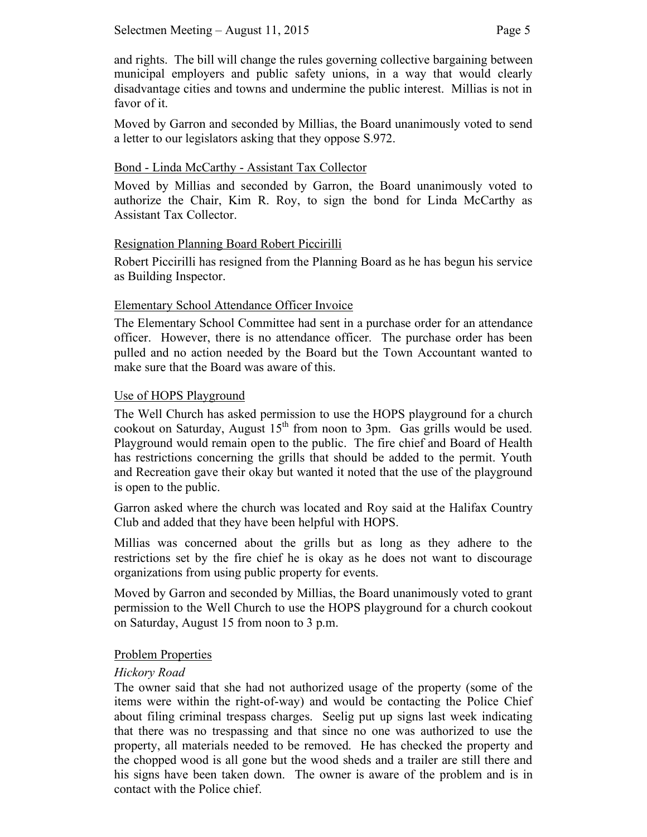and rights. The bill will change the rules governing collective bargaining between municipal employers and public safety unions, in a way that would clearly disadvantage cities and towns and undermine the public interest. Millias is not in favor of it.

Moved by Garron and seconded by Millias, the Board unanimously voted to send a letter to our legislators asking that they oppose S.972.

### Bond - Linda McCarthy - Assistant Tax Collector

Moved by Millias and seconded by Garron, the Board unanimously voted to authorize the Chair, Kim R. Roy, to sign the bond for Linda McCarthy as Assistant Tax Collector.

## Resignation Planning Board Robert Piccirilli

Robert Piccirilli has resigned from the Planning Board as he has begun his service as Building Inspector.

## Elementary School Attendance Officer Invoice

The Elementary School Committee had sent in a purchase order for an attendance officer. However, there is no attendance officer. The purchase order has been pulled and no action needed by the Board but the Town Accountant wanted to make sure that the Board was aware of this.

## Use of HOPS Playground

The Well Church has asked permission to use the HOPS playground for a church cookout on Saturday, August  $15<sup>th</sup>$  from noon to 3pm. Gas grills would be used. Playground would remain open to the public. The fire chief and Board of Health has restrictions concerning the grills that should be added to the permit. Youth and Recreation gave their okay but wanted it noted that the use of the playground is open to the public.

Garron asked where the church was located and Roy said at the Halifax Country Club and added that they have been helpful with HOPS.

Millias was concerned about the grills but as long as they adhere to the restrictions set by the fire chief he is okay as he does not want to discourage organizations from using public property for events.

Moved by Garron and seconded by Millias, the Board unanimously voted to grant permission to the Well Church to use the HOPS playground for a church cookout on Saturday, August 15 from noon to 3 p.m.

#### Problem Properties

#### *Hickory Road*

The owner said that she had not authorized usage of the property (some of the items were within the right-of-way) and would be contacting the Police Chief about filing criminal trespass charges. Seelig put up signs last week indicating that there was no trespassing and that since no one was authorized to use the property, all materials needed to be removed. He has checked the property and the chopped wood is all gone but the wood sheds and a trailer are still there and his signs have been taken down. The owner is aware of the problem and is in contact with the Police chief.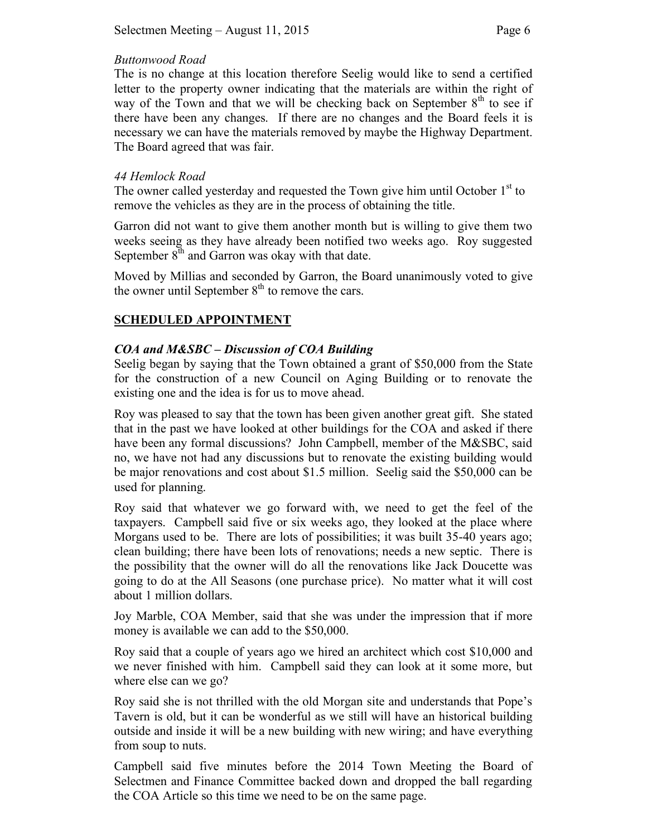## *Buttonwood Road*

The is no change at this location therefore Seelig would like to send a certified letter to the property owner indicating that the materials are within the right of way of the Town and that we will be checking back on September  $8<sup>th</sup>$  to see if there have been any changes. If there are no changes and the Board feels it is necessary we can have the materials removed by maybe the Highway Department. The Board agreed that was fair.

### *44 Hemlock Road*

The owner called yesterday and requested the Town give him until October  $1<sup>st</sup>$  to remove the vehicles as they are in the process of obtaining the title.

Garron did not want to give them another month but is willing to give them two weeks seeing as they have already been notified two weeks ago. Roy suggested September  $8<sup>th</sup>$  and Garron was okay with that date.

Moved by Millias and seconded by Garron, the Board unanimously voted to give the owner until September  $8<sup>th</sup>$  to remove the cars.

## **SCHEDULED APPOINTMENT**

## *COA and M&SBC – Discussion of COA Building*

Seelig began by saying that the Town obtained a grant of \$50,000 from the State for the construction of a new Council on Aging Building or to renovate the existing one and the idea is for us to move ahead.

Roy was pleased to say that the town has been given another great gift. She stated that in the past we have looked at other buildings for the COA and asked if there have been any formal discussions? John Campbell, member of the M&SBC, said no, we have not had any discussions but to renovate the existing building would be major renovations and cost about \$1.5 million. Seelig said the \$50,000 can be used for planning.

Roy said that whatever we go forward with, we need to get the feel of the taxpayers. Campbell said five or six weeks ago, they looked at the place where Morgans used to be. There are lots of possibilities; it was built 35-40 years ago; clean building; there have been lots of renovations; needs a new septic. There is the possibility that the owner will do all the renovations like Jack Doucette was going to do at the All Seasons (one purchase price). No matter what it will cost about 1 million dollars.

Joy Marble, COA Member, said that she was under the impression that if more money is available we can add to the \$50,000.

Roy said that a couple of years ago we hired an architect which cost \$10,000 and we never finished with him. Campbell said they can look at it some more, but where else can we go?

Roy said she is not thrilled with the old Morgan site and understands that Pope's Tavern is old, but it can be wonderful as we still will have an historical building outside and inside it will be a new building with new wiring; and have everything from soup to nuts.

Campbell said five minutes before the 2014 Town Meeting the Board of Selectmen and Finance Committee backed down and dropped the ball regarding the COA Article so this time we need to be on the same page.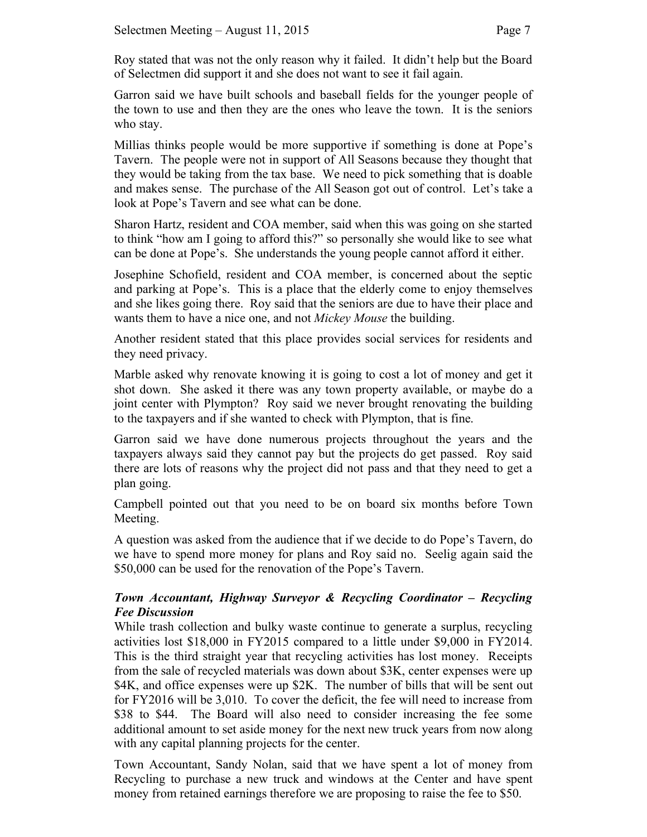Roy stated that was not the only reason why it failed. It didn't help but the Board of Selectmen did support it and she does not want to see it fail again.

Garron said we have built schools and baseball fields for the younger people of the town to use and then they are the ones who leave the town. It is the seniors who stay.

Millias thinks people would be more supportive if something is done at Pope's Tavern. The people were not in support of All Seasons because they thought that they would be taking from the tax base. We need to pick something that is doable and makes sense. The purchase of the All Season got out of control. Let's take a look at Pope's Tavern and see what can be done.

Sharon Hartz, resident and COA member, said when this was going on she started to think "how am I going to afford this?" so personally she would like to see what can be done at Pope's. She understands the young people cannot afford it either.

Josephine Schofield, resident and COA member, is concerned about the septic and parking at Pope's. This is a place that the elderly come to enjoy themselves and she likes going there.Roy said that the seniors are due to have their place and wants them to have a nice one, and not *Mickey Mouse* the building.

Another resident stated that this place provides social services for residents and they need privacy.

Marble asked why renovate knowing it is going to cost a lot of money and get it shot down. She asked it there was any town property available, or maybe do a joint center with Plympton? Roy said we never brought renovating the building to the taxpayers and if she wanted to check with Plympton, that is fine.

Garron said we have done numerous projects throughout the years and the taxpayers always said they cannot pay but the projects do get passed.Roy said there are lots of reasons why the project did not pass and that they need to get a plan going.

Campbell pointed out that you need to be on board six months before Town Meeting.

A question was asked from the audience that if we decide to do Pope's Tavern, do we have to spend more money for plans and Roy said no. Seelig again said the \$50,000 can be used for the renovation of the Pope's Tavern.

# *Town Accountant, Highway Surveyor & Recycling Coordinator – Recycling Fee Discussion*

While trash collection and bulky waste continue to generate a surplus, recycling activities lost \$18,000 in FY2015 compared to a little under \$9,000 in FY2014. This is the third straight year that recycling activities has lost money. Receipts from the sale of recycled materials was down about \$3K, center expenses were up \$4K, and office expenses were up \$2K. The number of bills that will be sent out for FY2016 will be 3,010. To cover the deficit, the fee will need to increase from \$38 to \$44. The Board will also need to consider increasing the fee some additional amount to set aside money for the next new truck years from now along with any capital planning projects for the center.

Town Accountant, Sandy Nolan, said that we have spent a lot of money from Recycling to purchase a new truck and windows at the Center and have spent money from retained earnings therefore we are proposing to raise the fee to \$50.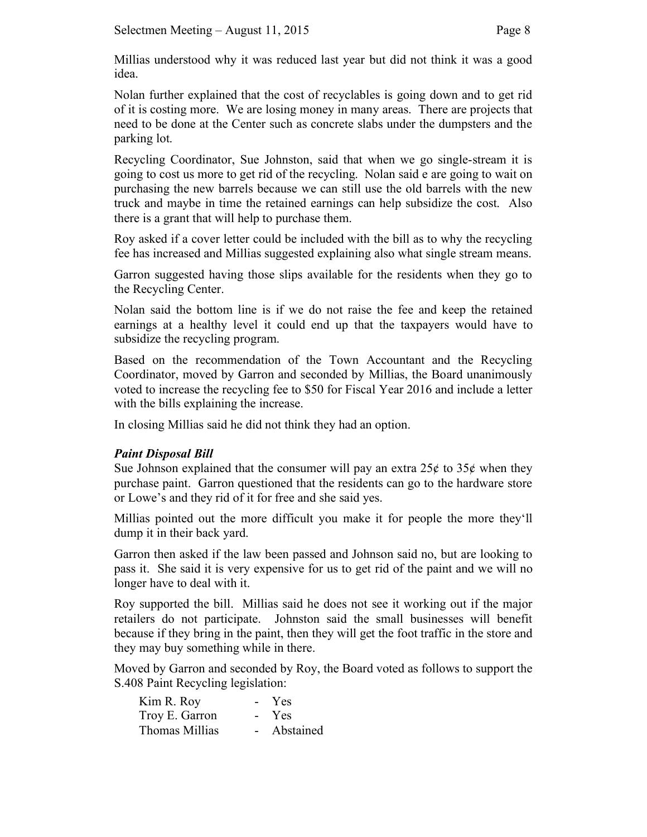Millias understood why it was reduced last year but did not think it was a good idea.

Nolan further explained that the cost of recyclables is going down and to get rid of it is costing more. We are losing money in many areas. There are projects that need to be done at the Center such as concrete slabs under the dumpsters and the parking lot.

Recycling Coordinator, Sue Johnston, said that when we go single-stream it is going to cost us more to get rid of the recycling. Nolan said e are going to wait on purchasing the new barrels because we can still use the old barrels with the new truck and maybe in time the retained earnings can help subsidize the cost. Also there is a grant that will help to purchase them.

Roy asked if a cover letter could be included with the bill as to why the recycling fee has increased and Millias suggested explaining also what single stream means.

Garron suggested having those slips available for the residents when they go to the Recycling Center.

Nolan said the bottom line is if we do not raise the fee and keep the retained earnings at a healthy level it could end up that the taxpayers would have to subsidize the recycling program.

Based on the recommendation of the Town Accountant and the Recycling Coordinator, moved by Garron and seconded by Millias, the Board unanimously voted to increase the recycling fee to \$50 for Fiscal Year 2016 and include a letter with the bills explaining the increase.

In closing Millias said he did not think they had an option.

# *Paint Disposal Bill*

Sue Johnson explained that the consumer will pay an extra  $25¢$  to  $35¢$  when they purchase paint. Garron questioned that the residents can go to the hardware store or Lowe's and they rid of it for free and she said yes.

Millias pointed out the more difficult you make it for people the more they'll dump it in their back yard.

Garron then asked if the law been passed and Johnson said no, but are looking to pass it. She said it is very expensive for us to get rid of the paint and we will no longer have to deal with it.

Roy supported the bill. Millias said he does not see it working out if the major retailers do not participate. Johnston said the small businesses will benefit because if they bring in the paint, then they will get the foot traffic in the store and they may buy something while in there.

Moved by Garron and seconded by Roy, the Board voted as follows to support the S.408 Paint Recycling legislation:

| Kim R. Roy     | Yes<br>$\sim$ 10 $\pm$ |  |
|----------------|------------------------|--|
| Troy E. Garron | - Yes                  |  |
| Thomas Millias | Abstained              |  |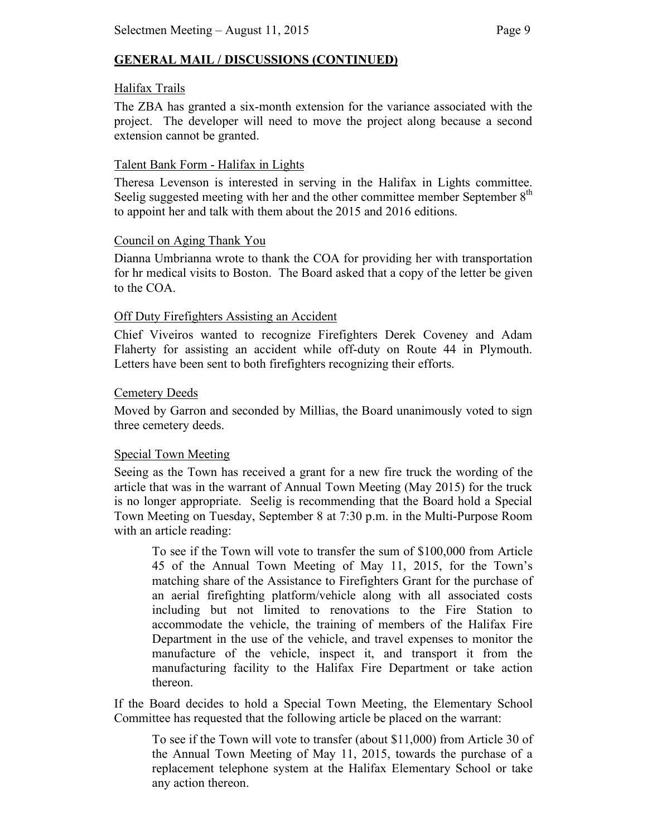# **GENERAL MAIL / DISCUSSIONS (CONTINUED)**

#### Halifax Trails

The ZBA has granted a six-month extension for the variance associated with the project. The developer will need to move the project along because a second extension cannot be granted.

#### Talent Bank Form - Halifax in Lights

Theresa Levenson is interested in serving in the Halifax in Lights committee. Seelig suggested meeting with her and the other committee member September 8<sup>th</sup> to appoint her and talk with them about the 2015 and 2016 editions.

#### Council on Aging Thank You

Dianna Umbrianna wrote to thank the COA for providing her with transportation for hr medical visits to Boston. The Board asked that a copy of the letter be given to the COA.

#### Off Duty Firefighters Assisting an Accident

Chief Viveiros wanted to recognize Firefighters Derek Coveney and Adam Flaherty for assisting an accident while off-duty on Route 44 in Plymouth. Letters have been sent to both firefighters recognizing their efforts.

#### Cemetery Deeds

Moved by Garron and seconded by Millias, the Board unanimously voted to sign three cemetery deeds.

#### Special Town Meeting

Seeing as the Town has received a grant for a new fire truck the wording of the article that was in the warrant of Annual Town Meeting (May 2015) for the truck is no longer appropriate. Seelig is recommending that the Board hold a Special Town Meeting on Tuesday, September 8 at 7:30 p.m. in the Multi-Purpose Room with an article reading:

To see if the Town will vote to transfer the sum of \$100,000 from Article 45 of the Annual Town Meeting of May 11, 2015, for the Town's matching share of the Assistance to Firefighters Grant for the purchase of an aerial firefighting platform/vehicle along with all associated costs including but not limited to renovations to the Fire Station to accommodate the vehicle, the training of members of the Halifax Fire Department in the use of the vehicle, and travel expenses to monitor the manufacture of the vehicle, inspect it, and transport it from the manufacturing facility to the Halifax Fire Department or take action thereon.

If the Board decides to hold a Special Town Meeting, the Elementary School Committee has requested that the following article be placed on the warrant:

To see if the Town will vote to transfer (about \$11,000) from Article 30 of the Annual Town Meeting of May 11, 2015, towards the purchase of a replacement telephone system at the Halifax Elementary School or take any action thereon.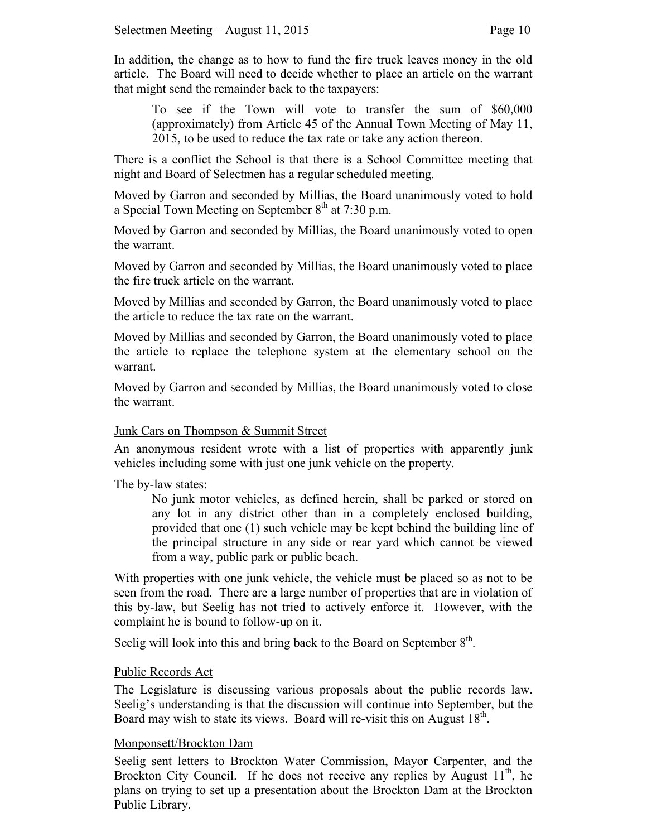In addition, the change as to how to fund the fire truck leaves money in the old article. The Board will need to decide whether to place an article on the warrant that might send the remainder back to the taxpayers:

To see if the Town will vote to transfer the sum of \$60,000 (approximately) from Article 45 of the Annual Town Meeting of May 11, 2015, to be used to reduce the tax rate or take any action thereon.

There is a conflict the School is that there is a School Committee meeting that night and Board of Selectmen has a regular scheduled meeting.

Moved by Garron and seconded by Millias, the Board unanimously voted to hold a Special Town Meeting on September  $8<sup>th</sup>$  at 7:30 p.m.

Moved by Garron and seconded by Millias, the Board unanimously voted to open the warrant.

Moved by Garron and seconded by Millias, the Board unanimously voted to place the fire truck article on the warrant.

Moved by Millias and seconded by Garron, the Board unanimously voted to place the article to reduce the tax rate on the warrant.

Moved by Millias and seconded by Garron, the Board unanimously voted to place the article to replace the telephone system at the elementary school on the warrant.

Moved by Garron and seconded by Millias, the Board unanimously voted to close the warrant.

#### Junk Cars on Thompson & Summit Street

An anonymous resident wrote with a list of properties with apparently junk vehicles including some with just one junk vehicle on the property.

The by-law states:

No junk motor vehicles, as defined herein, shall be parked or stored on any lot in any district other than in a completely enclosed building, provided that one (1) such vehicle may be kept behind the building line of the principal structure in any side or rear yard which cannot be viewed from a way, public park or public beach.

With properties with one junk vehicle, the vehicle must be placed so as not to be seen from the road. There are a large number of properties that are in violation of this by-law, but Seelig has not tried to actively enforce it. However, with the complaint he is bound to follow-up on it.

Seelig will look into this and bring back to the Board on September  $8<sup>th</sup>$ .

#### Public Records Act

The Legislature is discussing various proposals about the public records law. Seelig's understanding is that the discussion will continue into September, but the Board may wish to state its views. Board will re-visit this on August  $18<sup>th</sup>$ .

#### Monponsett/Brockton Dam

Seelig sent letters to Brockton Water Commission, Mayor Carpenter, and the Brockton City Council. If he does not receive any replies by August  $11<sup>th</sup>$ , he plans on trying to set up a presentation about the Brockton Dam at the Brockton Public Library.